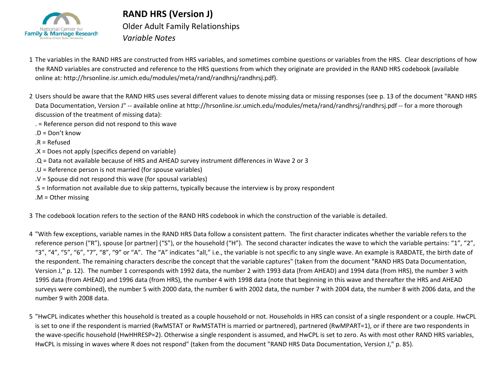

## Older Adult Family Relationships *Variable Notes* **RAND HRS (Version J)**

- 1 The variables in the RAND HRS are constructed from HRS variables, and sometimes combine questions or variables from the HRS. Clear descriptions of how the RAND variables are constructed and reference to the HRS questions from which they originate are provided in the RAND HRS codebook (available online at: http://hrsonline.isr.umich.edu/modules/meta/rand/randhrsj/randhrsj.pdf).
- 2 Users should be aware that the RAND HRS uses several different values to denote missing data or missing responses (see p. 13 of the document "RAND HRS Data Documentation, Version J" -- available online at http://hrsonline.isr.umich.edu/modules/meta/rand/randhrsj/randhrsj.pdf -- for a more thorough discussion of the treatment of missing data):
	- . = Reference person did not respond to this wave
	- .D = Don't know
	- .R = Refused
	- .X = Does not apply (specifics depend on variable)
	- .Q = Data not available because of HRS and AHEAD survey instrument differences in Wave 2 or 3
	- .U = Reference person is not married (for spouse variables)
	- .V = Spouse did not respond this wave (for spousal variables)
	- .S = Information not available due to skip patterns, typically because the interview is by proxy respondent
	- .M = Other missing
- 3 The codebook location refers to the section of the RAND HRS codebook in which the construction of the variable is detailed.
- 4 "With few exceptions, variable names in the RAND HRS Data follow a consistent pattern. The first character indicates whether the variable refers to the reference person ("R"), spouse [or partner] ("S"), or the household ("H"). The second character indicates the wave to which the variable pertains: "1", "2", "3", "4", "5", "6", "7", "8", "9" or "A". The "A" indicates "all," i.e., the variable is not specific to any single wave. An example is RABDATE, the birth date of the respondent. The remaining characters describe the concept that the variable captures" (taken from the document "RAND HRS Data Documentation, Version J," p. 12). The number 1 corresponds with 1992 data, the number 2 with 1993 data (from AHEAD) and 1994 data (from HRS), the number 3 with 1995 data (from AHEAD) and 1996 data (from HRS), the number 4 with 1998 data (note that beginning in this wave and thereafter the HRS and AHEAD surveys were combined), the number 5 with 2000 data, the number 6 with 2002 data, the number 7 with 2004 data, the number 8 with 2006 data, and the number 9 with 2008 data.
- 5 "HwCPL indicates whether this household is treated as a couple household or not. Households in HRS can consist of a single respondent or a couple. HwCPL is set to one if the respondent is married (RwMSTAT or RwMSTATH is married or partnered), partnered (RwMPART=1), or if there are two respondents in the wave-specific household (HwHHRESP=2). Otherwise a single respondent is assumed, and HwCPL is set to zero. As with most other RAND HRS variables, HwCPL is missing in waves where R does not respond" (taken from the document "RAND HRS Data Documentation, Version J," p. 85).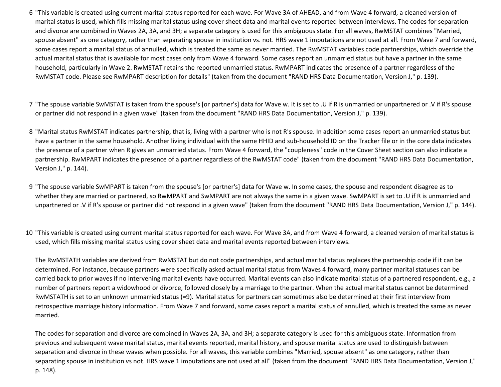- 6 "This variable is created using current marital status reported for each wave. For Wave 3A of AHEAD, and from Wave 4 forward, a cleaned version of marital status is used, which fills missing marital status using cover sheet data and marital events reported between interviews. The codes for separation and divorce are combined in Waves 2A, 3A, and 3H; a separate category is used for this ambiguous state. For all waves, RwMSTAT combines "Married, spouse absent" as one category, rather than separating spouse in institution vs. not. HRS wave 1 imputations are not used at all. From Wave 7 and forward, some cases report a marital status of annulled, which is treated the same as never married. The RwMSTAT variables code partnerships, which override the actual marital status that is available for most cases only from Wave 4 forward. Some cases report an unmarried status but have a partner in the same household, particularly in Wave 2. RwMSTAT retains the reported unmarried status. RwMPART indicates the presence of a partner regardless of the RwMSTAT code. Please see RwMPART description for details" (taken from the document "RAND HRS Data Documentation, Version J," p. 139).
- 7 "The spouse variable SwMSTAT is taken from the spouse's [or partner's] data for Wave w. It is set to .U if R is unmarried or unpartnered or .V if R's spouse or partner did not respond in a given wave" (taken from the document "RAND HRS Data Documentation, Version J," p. 139).
- 8 "Marital status RwMSTAT indicates partnership, that is, living with a partner who is not R's spouse. In addition some cases report an unmarried status but have a partner in the same household. Another living individual with the same HHID and sub-household ID on the Tracker file or in the core data indicates the presence of a partner when R gives an unmarried status. From Wave 4 forward, the "coupleness" code in the Cover Sheet section can also indicate a partnership. RwMPART indicates the presence of a partner regardless of the RwMSTAT code" (taken from the document "RAND HRS Data Documentation, Version J," p. 144).
- 9 "The spouse variable SwMPART is taken from the spouse's [or partner's] data for Wave w. In some cases, the spouse and respondent disagree as to whether they are married or partnered, so RwMPART and SwMPART are not always the same in a given wave. SwMPART is set to .U if R is unmarried and unpartnered or .V if R's spouse or partner did not respond in a given wave" (taken from the document "RAND HRS Data Documentation, Version J," p. 144).
- 10 "This variable is created using current marital status reported for each wave. For Wave 3A, and from Wave 4 forward, a cleaned version of marital status is used, which fills missing marital status using cover sheet data and marital events reported between interviews.

The RwMSTATH variables are derived from RwMSTAT but do not code partnerships, and actual marital status replaces the partnership code if it can be determined. For instance, because partners were specifically asked actual marital status from Waves 4 forward, many partner marital statuses can be carried back to prior waves if no intervening marital events have occurred. Marital events can also indicate marital status of a partnered respondent, e.g., a number of partners report a widowhood or divorce, followed closely by a marriage to the partner. When the actual marital status cannot be determined RwMSTATH is set to an unknown unmarried status (=9). Marital status for partners can sometimes also be determined at their first interview from retrospective marriage history information. From Wave 7 and forward, some cases report a marital status of annulled, which is treated the same as never married.

The codes for separation and divorce are combined in Waves 2A, 3A, and 3H; a separate category is used for this ambiguous state. Information from previous and subsequent wave marital status, marital events reported, marital history, and spouse marital status are used to distinguish between separation and divorce in these waves when possible. For all waves, this variable combines "Married, spouse absent" as one category, rather than separating spouse in institution vs not. HRS wave 1 imputations are not used at all" (taken from the document "RAND HRS Data Documentation, Version J," p. 148).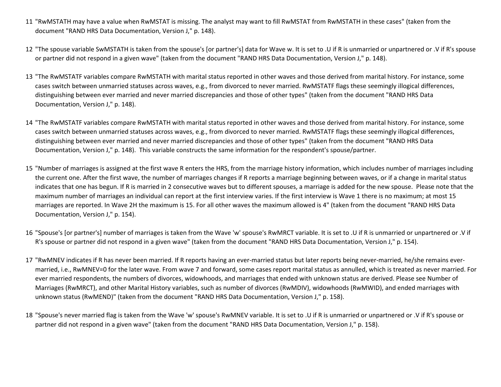- 11 "RwMSTATH may have a value when RwMSTAT is missing. The analyst may want to fill RwMSTAT from RwMSTATH in these cases" (taken from the document "RAND HRS Data Documentation, Version J," p. 148).
- 12 "The spouse variable SwMSTATH is taken from the spouse's [or partner's] data for Wave w. It is set to .U if R is unmarried or unpartnered or .V if R's spouse or partner did not respond in a given wave" (taken from the document "RAND HRS Data Documentation, Version J," p. 148).
- 13 "The RwMSTATF variables compare RwMSTATH with marital status reported in other waves and those derived from marital history. For instance, some cases switch between unmarried statuses across waves, e.g., from divorced to never married. RwMSTATF flags these seemingly illogical differences, distinguishing between ever married and never married discrepancies and those of other types" (taken from the document "RAND HRS Data Documentation, Version J," p. 148).
- 14 "The RwMSTATF variables compare RwMSTATH with marital status reported in other waves and those derived from marital history. For instance, some cases switch between unmarried statuses across waves, e.g., from divorced to never married. RwMSTATF flags these seemingly illogical differences, distinguishing between ever married and never married discrepancies and those of other types" (taken from the document "RAND HRS Data Documentation, Version J," p. 148). This variable constructs the same information for the respondent's spouse/partner.
- 15 "Number of marriages is assigned at the first wave R enters the HRS, from the marriage history information, which includes number of marriages including the current one. After the first wave, the number of marriages changes if R reports a marriage beginning between waves, or if a change in marital status indicates that one has begun. If R is married in 2 consecutive waves but to different spouses, a marriage is added for the new spouse. Please note that the maximum number of marriages an individual can report at the first interview varies. If the first interview is Wave 1 there is no maximum; at most 15 marriages are reported. In Wave 2H the maximum is 15. For all other waves the maximum allowed is 4" (taken from the document "RAND HRS Data Documentation, Version J," p. 154).
- 16 "Spouse's [or partner's] number of marriages is taken from the Wave 'w' spouse's RwMRCT variable. It is set to .U if R is unmarried or unpartnered or .V if R's spouse or partner did not respond in a given wave" (taken from the document "RAND HRS Data Documentation, Version J," p. 154).
- 17 "RwMNEV indicates if R has never been married. If R reports having an ever-married status but later reports being never-married, he/she remains evermarried, i.e., RwMNEV=0 for the later wave. From wave 7 and forward, some cases report marital status as annulled, which is treated as never married. For ever married respondents, the numbers of divorces, widowhoods, and marriages that ended with unknown status are derived. Please see Number of Marriages (RwMRCT), and other Marital History variables, such as number of divorces (RwMDIV), widowhoods (RwMWID), and ended marriages with unknown status (RwMEND)" (taken from the document "RAND HRS Data Documentation, Version J," p. 158).
- 18 "Spouse's never married flag is taken from the Wave 'w' spouse's RwMNEV variable. It is set to .U if R is unmarried or unpartnered or .V if R's spouse or partner did not respond in a given wave" (taken from the document "RAND HRS Data Documentation, Version J," p. 158).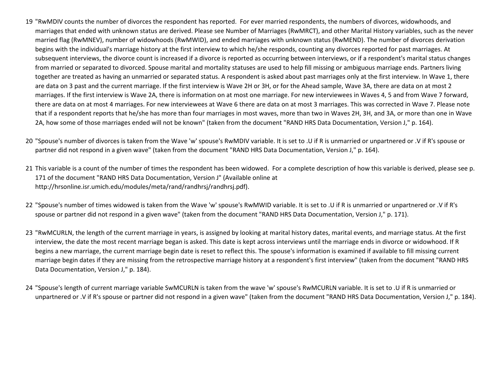- 19 "RwMDIV counts the number of divorces the respondent has reported. For ever married respondents, the numbers of divorces, widowhoods, and marriages that ended with unknown status are derived. Please see Number of Marriages (RwMRCT), and other Marital History variables, such as the never married flag (RwMNEV), number of widowhoods (RwMWID), and ended marriages with unknown status (RwMEND). The number of divorces derivation begins with the individual's marriage history at the first interview to which he/she responds, counting any divorces reported for past marriages. At subsequent interviews, the divorce count is increased if a divorce is reported as occurring between interviews, or if a respondent's marital status changes from married or separated to divorced. Spouse marital and mortality statuses are used to help fill missing or ambiguous marriage ends. Partners living together are treated as having an unmarried or separated status. A respondent is asked about past marriages only at the first interview. In Wave 1, there are data on 3 past and the current marriage. If the first interview is Wave 2H or 3H, or for the Ahead sample, Wave 3A, there are data on at most 2 marriages. If the first interview is Wave 2A, there is information on at most one marriage. For new interviewees in Waves 4, 5 and from Wave 7 forward, there are data on at most 4 marriages. For new interviewees at Wave 6 there are data on at most 3 marriages. This was corrected in Wave 7. Please note that if a respondent reports that he/she has more than four marriages in most waves, more than two in Waves 2H, 3H, and 3A, or more than one in Wave 2A, how some of those marriages ended will not be known" (taken from the document "RAND HRS Data Documentation, Version J," p. 164).
- 20 "Spouse's number of divorces is taken from the Wave 'w' spouse's RwMDIV variable. It is set to .U if R is unmarried or unpartnered or .V if R's spouse or partner did not respond in a given wave" (taken from the document "RAND HRS Data Documentation, Version J," p. 164).
- 21 This variable is a count of the number of times the respondent has been widowed. For a complete description of how this variable is derived, please see p. 171 of the document "RAND HRS Data Documentation, Version J" (Available online at http://hrsonline.isr.umich.edu/modules/meta/rand/randhrsj/randhrsj.pdf).
- 22 "Spouse's number of times widowed is taken from the Wave 'w' spouse's RwMWID variable. It is set to .U if R is unmarried or unpartnered or .V if R's spouse or partner did not respond in a given wave" (taken from the document "RAND HRS Data Documentation, Version J," p. 171).
- 23 "RwMCURLN, the length of the current marriage in years, is assigned by looking at marital history dates, marital events, and marriage status. At the first interview, the date the most recent marriage began is asked. This date is kept across interviews until the marriage ends in divorce or widowhood. If R begins a new marriage, the current marriage begin date is reset to reflect this. The spouse's information is examined if available to fill missing current marriage begin dates if they are missing from the retrospective marriage history at a respondent's first interview" (taken from the document "RAND HRS Data Documentation, Version J," p. 184).
- 24 "Spouse's length of current marriage variable SwMCURLN is taken from the wave 'w' spouse's RwMCURLN variable. It is set to .U if R is unmarried or unpartnered or .V if R's spouse or partner did not respond in a given wave" (taken from the document "RAND HRS Data Documentation, Version J," p. 184).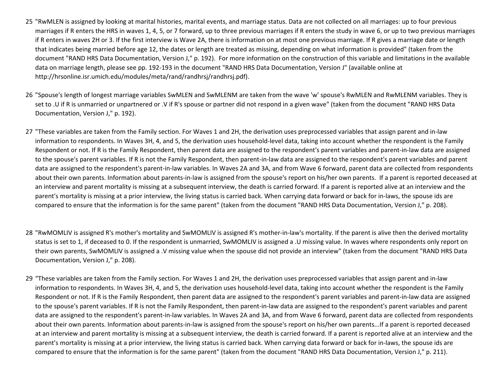- 25 "RwMLEN is assigned by looking at marital histories, marital events, and marriage status. Data are not collected on all marriages: up to four previous marriages if R enters the HRS in waves 1, 4, 5, or 7 forward, up to three previous marriages if R enters the study in wave 6, or up to two previous marriages if R enters in waves 2H or 3. If the first interview is Wave 2A, there is information on at most one previous marriage. If R gives a marriage date or length that indicates being married before age 12, the dates or length are treated as missing, depending on what information is provided" (taken from the document "RAND HRS Data Documentation, Version J," p. 192). For more information on the construction of this variable and limitations in the available data on marriage length, please see pp. 192-193 in the document "RAND HRS Data Documentation, Version J" (available online at http://hrsonline.isr.umich.edu/modules/meta/rand/randhrsj/randhrsj.pdf).
- 26 "Spouse's length of longest marriage variables SwMLEN and SwMLENM are taken from the wave 'w' spouse's RwMLEN and RwMLENM variables. They is set to .U if R is unmarried or unpartnered or .V if R's spouse or partner did not respond in a given wave" (taken from the document "RAND HRS Data Documentation, Version J," p. 192).
- 27 "These variables are taken from the Family section. For Waves 1 and 2H, the derivation uses preprocessed variables that assign parent and in-law information to respondents. In Waves 3H, 4, and 5, the derivation uses household-level data, taking into account whether the respondent is the Family Respondent or not. If R is the Family Respondent, then parent data are assigned to the respondent's parent variables and parent-in-law data are assigned to the spouse's parent variables. If R is not the Family Respondent, then parent-in-law data are assigned to the respondent's parent variables and parent data are assigned to the respondent's parent-in-law variables. In Waves 2A and 3A, and from Wave 6 forward, parent data are collected from respondents about their own parents. Information about parents-in-law is assigned from the spouse's report on his/her own parents. If a parent is reported deceased at an interview and parent mortality is missing at a subsequent interview, the death is carried forward. If a parent is reported alive at an interview and the parent's mortality is missing at a prior interview, the living status is carried back. When carrying data forward or back for in-laws, the spouse ids are compared to ensure that the information is for the same parent" (taken from the document "RAND HRS Data Documentation, Version J," p. 208).
- 28 "RwMOMLIV is assigned R's mother's mortality and SwMOMLIV is assigned R's mother-in-law's mortality. If the parent is alive then the derived mortality status is set to 1, if deceased to 0. If the respondent is unmarried, SwMOMLIV is assigned a .U missing value. In waves where respondents only report on their own parents, SwMOMLIV is assigned a .V missing value when the spouse did not provide an interview" (taken from the document "RAND HRS Data Documentation, Version J," p. 208).
- 29 "These variables are taken from the Family section. For Waves 1 and 2H, the derivation uses preprocessed variables that assign parent and in-law information to respondents. In Waves 3H, 4, and 5, the derivation uses household-level data, taking into account whether the respondent is the Family Respondent or not. If R is the Family Respondent, then parent data are assigned to the respondent's parent variables and parent-in-law data are assigned to the spouse's parent variables. If R is not the Family Respondent, then parent-in-law data are assigned to the respondent's parent variables and parent data are assigned to the respondent's parent-in-law variables. In Waves 2A and 3A, and from Wave 6 forward, parent data are collected from respondents about their own parents. Information about parents-in-law is assigned from the spouse's report on his/her own parents...If a parent is reported deceased at an interview and parent mortality is missing at a subsequent interview, the death is carried forward. If a parent is reported alive at an interview and the parent's mortality is missing at a prior interview, the living status is carried back. When carrying data forward or back for in-laws, the spouse ids are compared to ensure that the information is for the same parent" (taken from the document "RAND HRS Data Documentation, Version J," p. 211).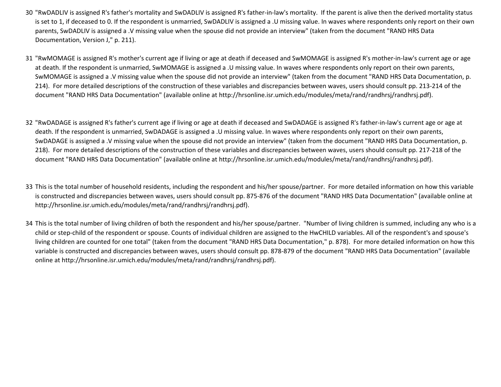- 30 "RwDADLIV is assigned R's father's mortality and SwDADLIV is assigned R's father-in-law's mortality. If the parent is alive then the derived mortality status is set to 1, if deceased to 0. If the respondent is unmarried, SwDADLIV is assigned a .U missing value. In waves where respondents only report on their own parents, SwDADLIV is assigned a .V missing value when the spouse did not provide an interview" (taken from the document "RAND HRS Data Documentation, Version J," p. 211).
- 31 "RwMOMAGE is assigned R's mother's current age if living or age at death if deceased and SwMOMAGE is assigned R's mother-in-law's current age or age at death. If the respondent is unmarried, SwMOMAGE is assigned a .U missing value. In waves where respondents only report on their own parents, SwMOMAGE is assigned a .V missing value when the spouse did not provide an interview" (taken from the document "RAND HRS Data Documentation, p. 214). For more detailed descriptions of the construction of these variables and discrepancies between waves, users should consult pp. 213-214 of the document "RAND HRS Data Documentation" (available online at http://hrsonline.isr.umich.edu/modules/meta/rand/randhrsj/randhrsj.pdf).
- 32 "RwDADAGE is assigned R's father's current age if living or age at death if deceased and SwDADAGE is assigned R's father-in-law's current age or age at death. If the respondent is unmarried, SwDADAGE is assigned a .U missing value. In waves where respondents only report on their own parents, SwDADAGE is assigned a .V missing value when the spouse did not provide an interview" (taken from the document "RAND HRS Data Documentation, p. 218). For more detailed descriptions of the construction of these variables and discrepancies between waves, users should consult pp. 217-218 of the document "RAND HRS Data Documentation" (available online at http://hrsonline.isr.umich.edu/modules/meta/rand/randhrsj/randhrsj.pdf).
- 33 This is the total number of household residents, including the respondent and his/her spouse/partner. For more detailed information on how this variable is constructed and discrepancies between waves, users should consult pp. 875-876 of the document "RAND HRS Data Documentation" (available online at http://hrsonline.isr.umich.edu/modules/meta/rand/randhrsj/randhrsj.pdf).
- 34 This is the total number of living children of both the respondent and his/her spouse/partner. "Number of living children is summed, including any who is a child or step-child of the respondent or spouse. Counts of individual children are assigned to the HwCHILD variables. All of the respondent's and spouse's living children are counted for one total" (taken from the document "RAND HRS Data Documentation," p. 878). For more detailed information on how this variable is constructed and discrepancies between waves, users should consult pp. 878-879 of the document "RAND HRS Data Documentation" (available online at http://hrsonline.isr.umich.edu/modules/meta/rand/randhrsj/randhrsj.pdf).